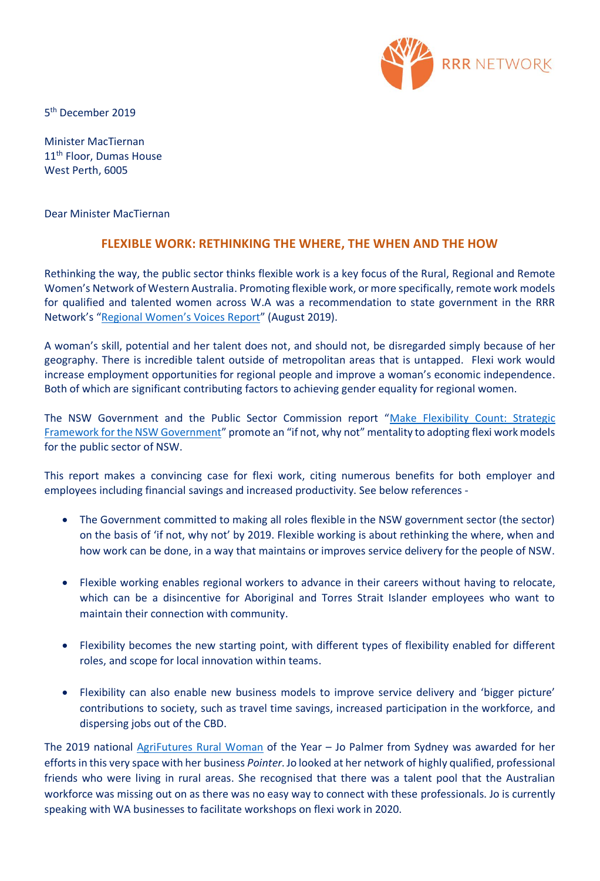

5<sup>th</sup> December 2019

Minister MacTiernan 11<sup>th</sup> Floor, Dumas House West Perth, 6005

Dear Minister MacTiernan

## **FLEXIBLE WORK: RETHINKING THE WHERE, THE WHEN AND THE HOW**

Rethinking the way, the public sector thinks flexible work is a key focus of the Rural, Regional and Remote Women's Network of Western Australia. Promoting flexible work, or more specifically, remote work models for qualified and talented women across W.A was a recommendation to state government in the RRR Network's ["Regional Women's Voices Report"](https://www.rrrnetwork.com.au/wp-content/uploads/2019/10/Womens-Voices-Report-.pdf) (August 2019).

A woman's skill, potential and her talent does not, and should not, be disregarded simply because of her geography. There is incredible talent outside of metropolitan areas that is untapped. Flexi work would increase employment opportunities for regional people and improve a woman's economic independence. Both of which are significant contributing factors to achieving gender equality for regional women.

The NSW Government and the Public Sector Commission report "Make Flexibility Count: Strategic [Framework for the NSW Government](file:///C:/Users/Megan/Downloads/Make-flexibility-count-report-2017%20(1).pdf)" promote an "if not, why not" mentality to adopting flexi work models for the public sector of NSW.

This report makes a convincing case for flexi work, citing numerous benefits for both employer and employees including financial savings and increased productivity. See below references -

- The Government committed to making all roles flexible in the NSW government sector (the sector) on the basis of 'if not, why not' by 2019. Flexible working is about rethinking the where, when and how work can be done, in a way that maintains or improves service delivery for the people of NSW.
- Flexible working enables regional workers to advance in their careers without having to relocate, which can be a disincentive for Aboriginal and Torres Strait Islander employees who want to maintain their connection with community.
- Flexibility becomes the new starting point, with different types of flexibility enabled for different roles, and scope for local innovation within teams.
- Flexibility can also enable new business models to improve service delivery and 'bigger picture' contributions to society, such as travel time savings, increased participation in the workforce, and dispersing jobs out of the CBD.

The 2019 national AgriFutures [Rural Woman](https://www.agrifutures.com.au/people-leadership/rural-womens-award/) of the Year – Jo Palmer from Sydney was awarded for her efforts in this very space with her business *Pointer*. Jo looked at her network of highly qualified, professional friends who were living in rural areas. She recognised that there was a talent pool that the Australian workforce was missing out on as there was no easy way to connect with these professionals. Jo is currently speaking with WA businesses to facilitate workshops on flexi work in 2020.